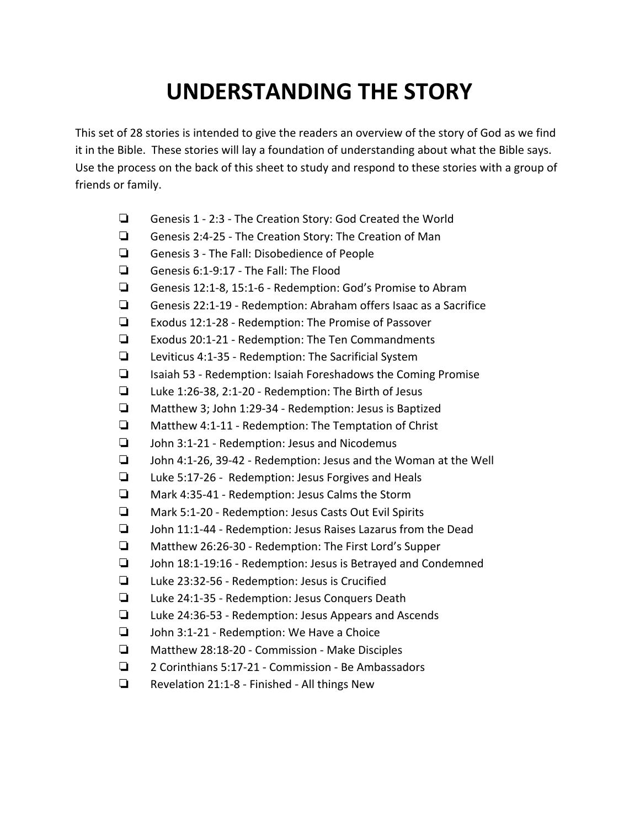## **UNDERSTANDING THE STORY**

This set of 28 stories is intended to give the readers an overview of the story of God as we find it in the Bible. These stories will lay a foundation of understanding about what the Bible says. Use the process on the back of this sheet to study and respond to these stories with a group of friends or family.

- ❏ Genesis 1 2:3 The Creation Story: God Created the World
- ❏ Genesis 2:4-25 The Creation Story: The Creation of Man
- ❏ Genesis 3 The Fall: Disobedience of People
- ❏ Genesis 6:1-9:17 The Fall: The Flood
- ❏ Genesis 12:1-8, 15:1-6 Redemption: God's Promise to Abram
- ❏ Genesis 22:1-19 Redemption: Abraham offers Isaac as a Sacrifice
- ❏ Exodus 12:1-28 Redemption: The Promise of Passover
- ❏ Exodus 20:1-21 Redemption: The Ten Commandments
- ❏ Leviticus 4:1-35 Redemption: The Sacrificial System
- ❏ Isaiah 53 Redemption: Isaiah Foreshadows the Coming Promise
- ❏ Luke 1:26-38, 2:1-20 Redemption: The Birth of Jesus
- ❏ Matthew 3; John 1:29-34 Redemption: Jesus is Baptized
- ❏ Matthew 4:1-11 Redemption: The Temptation of Christ
- ❏ John 3:1-21 Redemption: Jesus and Nicodemus
- ❏ John 4:1-26, 39-42 Redemption: Jesus and the Woman at the Well
- ❏ Luke 5:17-26 Redemption: Jesus Forgives and Heals
- ❏ Mark 4:35-41 Redemption: Jesus Calms the Storm
- ❏ Mark 5:1-20 Redemption: Jesus Casts Out Evil Spirits
- ❏ John 11:1-44 Redemption: Jesus Raises Lazarus from the Dead
- ❏ Matthew 26:26-30 Redemption: The First Lord's Supper
- ❏ John 18:1-19:16 Redemption: Jesus is Betrayed and Condemned
- ❏ Luke 23:32-56 Redemption: Jesus is Crucified
- ❏ Luke 24:1-35 Redemption: Jesus Conquers Death
- ❏ Luke 24:36-53 Redemption: Jesus Appears and Ascends
- ❏ John 3:1-21 Redemption: We Have a Choice
- ❏ Matthew 28:18-20 Commission Make Disciples
- ❏ 2 Corinthians 5:17-21 Commission Be Ambassadors
- ❏ Revelation 21:1-8 Finished All things New